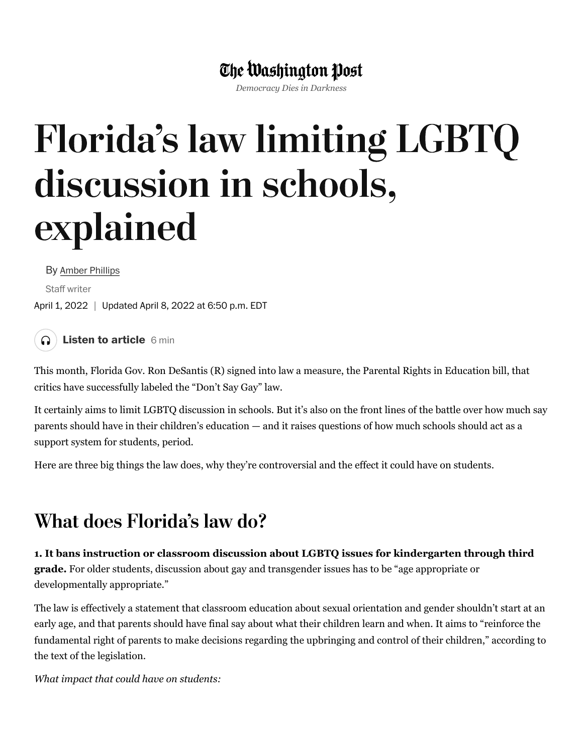## The Washington Post

*Democracy Dies in Darkness*

# Florida's law limiting LGBTQ discussion in schools, explained

#### By [Amber Phillips](https://www.washingtonpost.com/people/amber-phillips/)

Staff writer April 1, 2022 | Updated April 8, 2022 at 6:50 p.m. EDT

**Listen to article** 6 min  $\Omega$ 

This month, Florida Gov. Ron DeSantis (R) signed into law a measure, the Parental Rights in Education bill, that critics have successfully labeled the "Don't Say Gay" law.

It certainly aims to limit LGBTQ discussion in schools. But it's also on the front lines of the battle over how much say parents should have in their children's education — and it raises questions of how much schools should act as a support system for students, period.

Here are three big things the law does, why they're controversial and the effect it could have on students.

## What does Florida's law do?

**1. It bans instruction or classroom discussion about LGBTQ issues for kindergarten through third grade.** For older students, discussion about gay and transgender issues has to be "age appropriate or developmentally appropriate."

The law is effectively a statement that classroom education about sexual orientation and gender shouldn't start at an early age, and that parents should have final say about what their children learn and when. It aims to "reinforce the fundamental right of parents to make decisions regarding the upbringing and control of their children," according to the text of the legislation.

*What impact that could have on students:*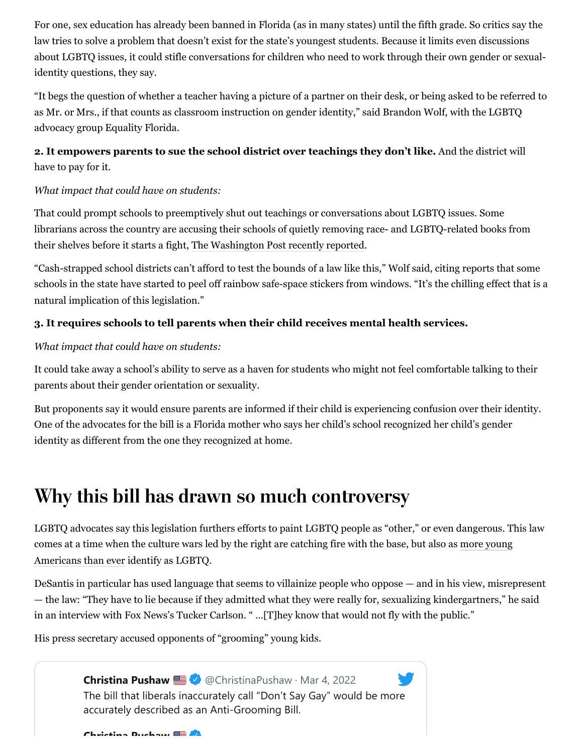For one, sex education has already been banned in Florida (as in many states) until the fifth grade. So critics say the law tries to solve a problem that doesn't exist for the state's youngest students. Because it limits even discussions about LGBTQ issues, it could stifle conversations for children who need to work through their own gender or sexualidentity questions, they say.

"It begs the question of whether a teacher having a picture of a partner on their desk, or being asked to be referred to as Mr. or Mrs., if that counts as classroom instruction on gender identity," said Brandon Wolf, with the LGBTQ advocacy group Equality Florida.

### **2. It empowers parents to sue the school district over teachings they don't like.** And the district will have to pay for it.

#### *What impact that could have on students:*

That could prompt schools to preemptively shut out teachings or conversations about LGBTQ issues. Some librarians across the country are accusing their schools of quietly removing race- and LGBTQ-related books from their shelves before it starts a fight, [The Washington Post recently reported](https://www.washingtonpost.com/education/2022/03/22/school-librarian-book-bans-challenges/?carta-url=https%3A%2F%2Fs2.washingtonpost.com%2Fcar-ln-tr%2F3660b9d%2F6244c4a379d9d21aa10f287e%2F597a6c2a9bbc0f6826cd95eb%2F13%2F45%2F6244c4a379d9d21aa10f287e&itid=lk_inline_manual_18).

"Cash-strapped school districts can't afford to test the bounds of a law like this," Wolf said, citing reports that some schools in the state have started to peel off rainbow safe-space stickers from windows. "It's the chilling effect that is a natural implication of this legislation."

#### **3. It requires schools to tell parents when their child receives mental health services.**

#### *What impact that could have on students:*

It could take away a school's ability to serve as a haven for students who might not feel comfortable talking to their parents about their gender orientation or sexuality.

But proponents say it would ensure parents are informed if their child is experiencing confusion over their identity. One of the advocates for the bill is a Florida mother who says her child's school recognized her child's gender identity as different from the one they recognized at home.

## Why this bill has drawn so much controversy

LGBTQ advocates say this legislation furthers efforts to paint LGBTQ people as "other," or even dangerous. This law [comes at a time when the culture wars led by the right are catching fire with the base, but also as more young](https://www.washingtonpost.com/lifestyle/2022/02/17/adults-identifying-lgbt-gen-z/?carta-url=https%3A%2F%2Fs2.washingtonpost.com%2Fcar-ln-tr%2F3615068%2F6244c4a379d9d21aa10f287e%2F597a6c2a9bbc0f6826cd95eb%2F17%2F45%2F6244c4a379d9d21aa10f287e&itid=lk_inline_manual_27) Americans than ever identify as LGBTQ.

DeSantis in particular has used language that seems to villainize people who oppose — and in his view, misrepresent — the law: "They have to lie because if they admitted what they were really for, sexualizing kindergartners," he said in an interview with Fox News's Tucker Carlson. " …[T]hey know that would not fly with the public."

His press secretary accused opponents of "grooming" young kids.



**[Christina](https://twitter.com/ChristinaPushaw?ref_src=twsrc%5Etfw%7Ctwcamp%5Etweetembed%7Ctwterm%5E1499890719691051008%7Ctwgr%5E%7Ctwcon%5Es1_&ref_url=https%3A%2F%2Fwww.washingtonpost.com%2Fpolitics%2F2022%2F04%2F01%2Fwhat-is-florida-dont-say-gay-bill%2F) Pushaw**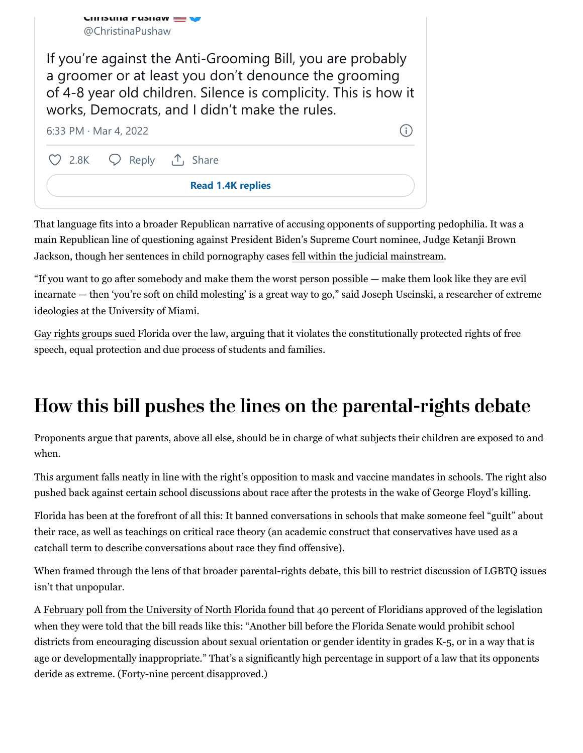| <b>ISLIHA FUSHAW</b><br>@ChristinaPushaw                                                                                                                                                                                                 |  |
|------------------------------------------------------------------------------------------------------------------------------------------------------------------------------------------------------------------------------------------|--|
| If you're against the Anti-Grooming Bill, you are probably<br>a groomer or at least you don't denounce the grooming<br>of 4-8 year old children. Silence is complicity. This is how it<br>works, Democrats, and I didn't make the rules. |  |
| 6:33 PM $\cdot$ Mar 4, 2022                                                                                                                                                                                                              |  |
| $\heartsuit$ 2.8K $\heartsuit$ Reply $\triangle$ Share                                                                                                                                                                                   |  |
| <b>Read 1.4K replies</b>                                                                                                                                                                                                                 |  |

That language fits into a broader Republican narrative of accusing opponents of supporting pedophilia. It was a main Republican line of questioning against President Biden's Supreme Court nominee, Judge Ketanji Brown Jackson, though her sentences in child pornography cases [fell within the judicial mainstream](https://www.washingtonpost.com/politics/2022/03/19/sen-hawleys-misleading-attack-judge-jacksons-sentencing-child-porn-offenders/?itid=lk_inline_manual_33).

"If you want to go after somebody and make them the worst person possible — make them look like they are evil incarnate — then 'you're soft on child molesting' is a great way to go," said Joseph Uscinski, a researcher of extreme ideologies at the University of Miami.

[Gay rights groups sued](https://www.washingtonpost.com/politics/lgbtq-group-sues-florida-over-so-called-dont-say-gay-law/2022/03/31/6ccd161a-b0fb-11ec-9dbd-0d4609d44c1c_story.html?itid=lk_inline_manual_37) Florida over the law, arguing that it violates the constitutionally protected rights of free speech, equal protection and due process of students and families.

## How this bill pushes the lines on the parental-rights debate

Proponents argue that parents, above all else, should be in charge of what subjects their children are exposed to and when.

This argument falls neatly in line with the right's opposition to mask and vaccine mandates in schools. The right also pushed back against certain school discussions about race after the protests in the wake of George Floyd's killing.

Florida has been at the forefront of all this: It banned conversations in schools that make someone feel "guilt" about their race, as well as teachings on critical race theory (an academic construct that conservatives have used as a catchall term to describe conversations about race they find offensive).

When framed through the lens of that broader parental-rights debate, this bill to restrict discussion of LGBTQ issues isn't that unpopular.

A [February poll from the University of North Florida found](https://www.unf.edu/uploadedFiles/aa/coas/porl/UNF%20PORL%20Press%20Release%202-22-22.pdf) that 40 percent of Floridians approved of the legislation when they were told that the bill reads like this: "Another bill before the Florida Senate would prohibit school districts from encouraging discussion about sexual orientation or gender identity in grades K-5, or in a way that is age or developmentally inappropriate." That's a significantly high percentage in support of a law that its opponents deride as extreme. (Forty-nine percent disapproved.)